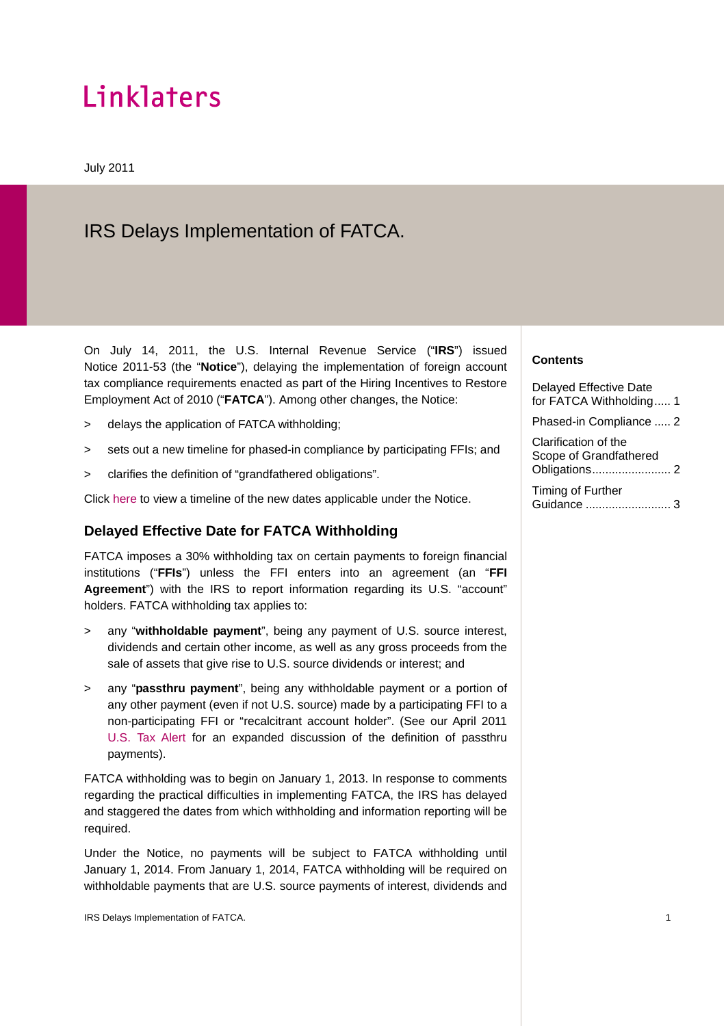# Linklaters

July 2011

## IRS Delays Implementation of FATCA.

On July 14, 2011, the U.S. Internal Revenue Service ("**IRS**") issued Notice 2011-53 (the "**Notice**"), delaying the implementation of foreign account tax compliance requirements enacted as part of the Hiring Incentives to Restore Employment Act of 2010 ("**FATCA**"). Among other changes, the Notice:

- > delays the application of FATCA withholding;
- > sets out a new timeline for phased-in compliance by participating FFIs; and
- > clarifies the definition of "grandfathered obligations".

Click [here](http://www.linklaters.com/pdfs/mkt/newyork/A13738920.pdf) to view a timeline of the new dates applicable under the Notice.

#### **Delayed Effective Date for FATCA Withholding**

FATCA imposes a 30% withholding tax on certain payments to foreign financial institutions ("**FFIs**") unless the FFI enters into an agreement (an "**FFI Agreement**") with the IRS to report information regarding its U.S. "account" holders. FATCA withholding tax applies to:

- > any "**withholdable payment**", being any payment of U.S. source interest, dividends and certain other income, as well as any gross proceeds from the sale of assets that give rise to U.S. source dividends or interest; and
- > any "**passthru payment**", being any withholdable payment or a portion of any other payment (even if not U.S. source) made by a participating FFI to a non-participating FFI or "recalcitrant account holder". (See our April 2011 [U.S. Tax Alert](http://www.linklaters.com/pdfs/mkt/newyork/A13326899.pdf) for an expanded discussion of the definition of passthru payments).

FATCA withholding was to begin on January 1, 2013. In response to comments regarding the practical difficulties in implementing FATCA, the IRS has delayed and staggered the dates from which withholding and information reporting will be required.

Under the Notice, no payments will be subject to FATCA withholding until January 1, 2014. From January 1, 2014, FATCA withholding will be required on withholdable payments that are U.S. source payments of interest, dividends and

#### **Contents**

Delayed Effective Date for FATCA Withholding..... 1

Phased-in Compliance ..... 2

Clarification of the Scope of Grandfathered Obligations........................ 2

Timing of Further Guidance .......................... 3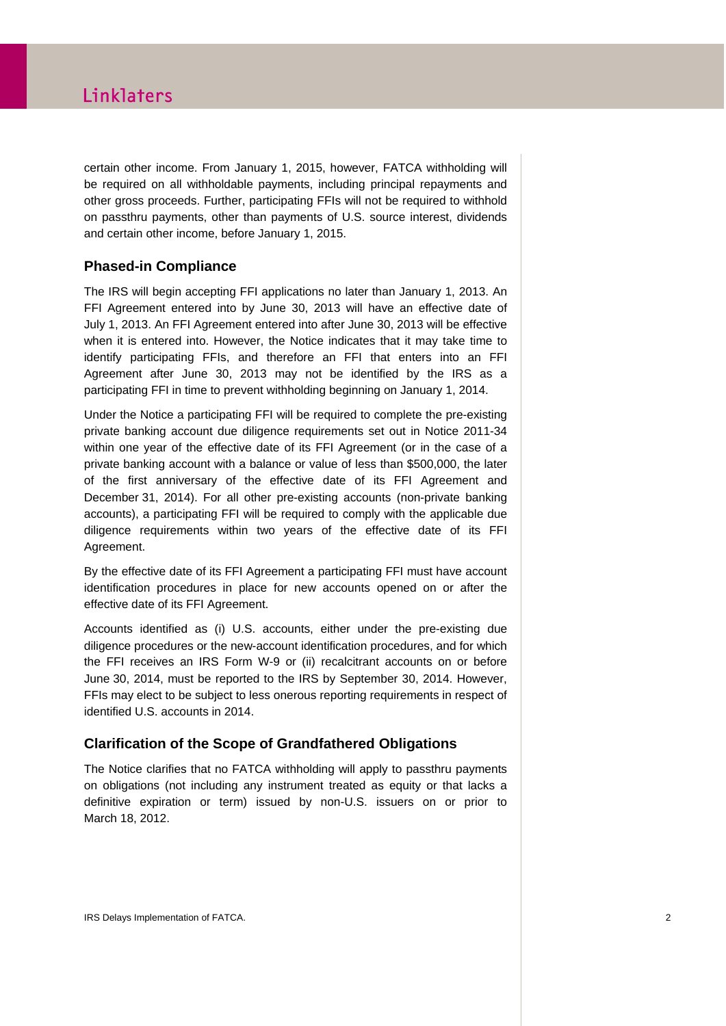### Linklaters

certain other income. From January 1, 2015, however, FATCA withholding will be required on all withholdable payments, including principal repayments and other gross proceeds. Further, participating FFIs will not be required to withhold on passthru payments, other than payments of U.S. source interest, dividends and certain other income, before January 1, 2015.

#### **Phased-in Compliance**

The IRS will begin accepting FFI applications no later than January 1, 2013. An FFI Agreement entered into by June 30, 2013 will have an effective date of July 1, 2013. An FFI Agreement entered into after June 30, 2013 will be effective when it is entered into. However, the Notice indicates that it may take time to identify participating FFIs, and therefore an FFI that enters into an FFI Agreement after June 30, 2013 may not be identified by the IRS as a participating FFI in time to prevent withholding beginning on January 1, 2014.

Under the Notice a participating FFI will be required to complete the pre-existing private banking account due diligence requirements set out in Notice 2011-34 within one year of the effective date of its FFI Agreement (or in the case of a private banking account with a balance or value of less than \$500,000, the later of the first anniversary of the effective date of its FFI Agreement and December 31, 2014). For all other pre-existing accounts (non-private banking accounts), a participating FFI will be required to comply with the applicable due diligence requirements within two years of the effective date of its FFI Agreement.

By the effective date of its FFI Agreement a participating FFI must have account identification procedures in place for new accounts opened on or after the effective date of its FFI Agreement.

Accounts identified as (i) U.S. accounts, either under the pre-existing due diligence procedures or the new-account identification procedures, and for which the FFI receives an IRS Form W-9 or (ii) recalcitrant accounts on or before June 30, 2014, must be reported to the IRS by September 30, 2014. However, FFIs may elect to be subject to less onerous reporting requirements in respect of identified U.S. accounts in 2014.

#### **Clarification of the Scope of Grandfathered Obligations**

The Notice clarifies that no FATCA withholding will apply to passthru payments on obligations (not including any instrument treated as equity or that lacks a definitive expiration or term) issued by non-U.S. issuers on or prior to March 18, 2012.